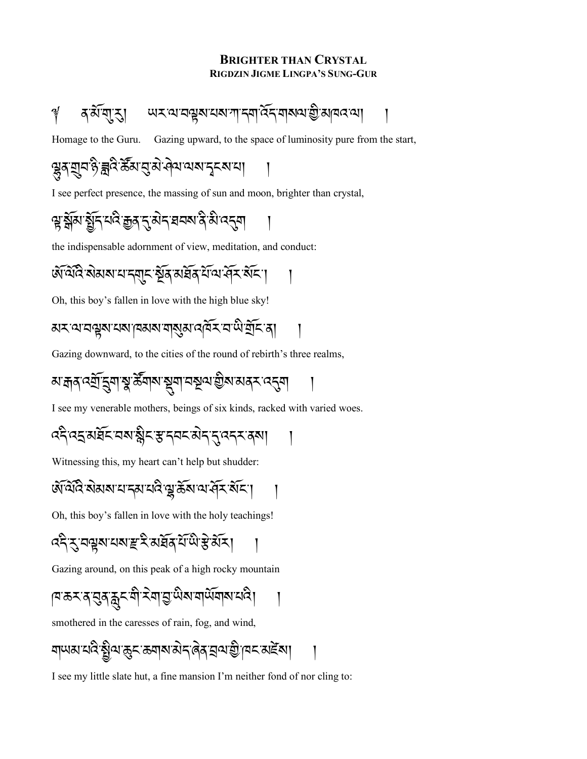#### **BRIGHTER THAN CRYSTAL RIGDZIN JIGME LINGPA'S SUNG-GUR**

Homage to the Guru. Gazing upward, to the space of luminosity pure from the start,

### <u>ড়</u>ৢৢ৻য়য়ঢ়ৡড়ৢ<u>ৼ</u>৻ৼৢৼৢৣৼৢ৻ৼৢ৻ড়ৢ৻ড়৻ড়৻ড়৻ড়৻ড়৻ড়৻ড়৻ড়৻

I see perfect presence, the massing of sun and moon, brighter than crystal,

# ৠ<u>ৠৢয়৻য়ৢৗ৾৴</u>৻ৼ৻৻ৼৣ৾ঀৼ৴ড়৸ৼ৻৻৸৻৴য়৾ৼ৻৸

the indispensable adornment of view, meditation, and conduct:

# <u>ฬायेदि सेमयायान्यान स्वरूपमधिक या पार्ट्य स्वरण</u>

Oh, this boy's fallen in love with the high blue sky!

Gazing downward, to the cities of the round of rebirth's three realms,

*ম*াক্র্ন বর্মী ব্রুণাস্থ স্টমাম স্থানা নম্বূব্য স্ত্রীম মাক্স ব্রন্ধনা

I see my venerable mothers, beings of six kinds, racked with varied woes.

*द*देख्दुरुद्रिय्यबाङ्गैर सुद्रव्यं सेद्र्वद्रव्या

Witnessing this, my heart can't help but shudder:

Oh, this boy's fallen in love with the holy teachings!

*द*द्दे द्वयूष यबाङ्ग र अर्ध्रय याले हे अर।

Gazing around, on this peak of a high rocky mountain

।¤<sup>:</sup>ক×<sup>:</sup>মৃ:মৃ:মু:মী:২মা:হী:দু:দু:মু:মানুগ্রাখ:বান্তু।

smothered in the caresses of rain, fog, and wind,

য়ড়য়ৼঢ়ড়ড়ৼঢ়ড়ৼৼড়৸৸ৼ৸ৼ৸ৼ৸ৼ

I see my little slate hut, a fine mansion I'm neither fond of nor cling to: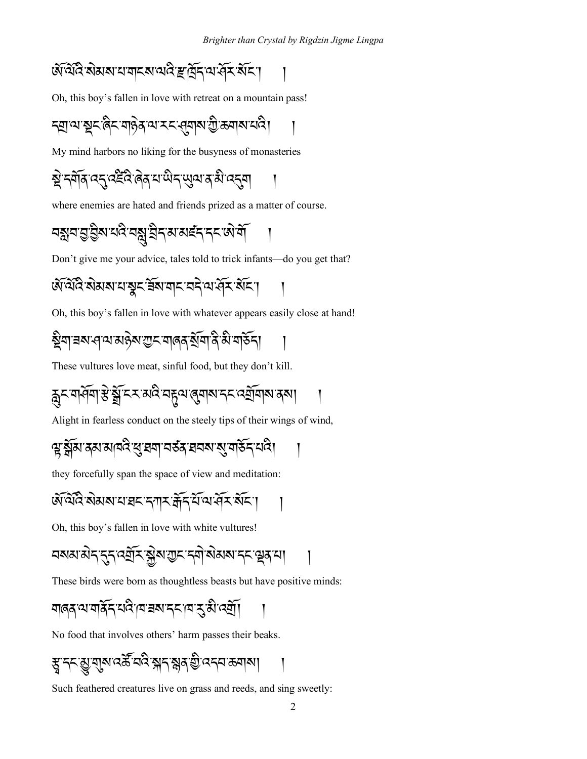#### ऄऀऄॎऀॱऄॺॺॱय़ॺऻॸॺॱॳढ़ॱॾफ़ॕॖॎॸ॔ॱॺॱॷ॔ॸॱ<u>ॶ</u>ॴ

Oh, this boy's fallen in love with retreat on a mountain pass!

$$
\frac{1}{2} \left( \sum_{i=1}^n \sum_{j=1}^n \sum_{j=1}^n \sum_{j=1}^n \sum_{j=1}^n \sum_{j=1}^n \sum_{j=1}^n \sum_{j=1}^n \sum_{j=1}^n \sum_{j=1}^n \sum_{j=1}^n \sum_{j=1}^n \sum_{j=1}^n \sum_{j=1}^n \sum_{j=1}^n \sum_{j=1}^n \sum_{j=1}^n \sum_{j=1}^n \sum_{j=1}^n \sum_{j=1}^n \sum_{j=1}^n \sum_{j=1}^n \sum_{j=1}^n \sum_{j=1}^n \sum_{j=1}^n \sum_{j=1}^n \sum_{j=1}^n \sum_{j=1}^n \sum_{j=1}^n \sum_{j=1}^n \sum_{j=1}^n \sum_{j=1}^n \sum_{j=1}^n \sum_{j=1}^n \sum_{j=1}^n \sum_{j=1}^n \sum_{j=1}^n \sum_{j=1}^n \sum_{j=1}^n \sum_{j=1}^n \sum_{j=1}^n \sum_{j=1}^n \sum_{j=1}^n \sum_{j=1}^n \sum_{j=1}^n \sum_{j=1}^n \sum_{j=1}^n \sum_{j=1}^n \sum_{j=1}^n \sum_{j=1}^n \sum_{j=1}^n \sum_{j=1}^n \sum_{j=1}^n \sum_{j=1}^n \sum_{j=1}^n \sum_{j=1}^n \sum_{j=1}^n \sum_{j=1}^n \sum_{j=1}^n \sum_{j=1}^n \sum_{j=1}^n \sum_{j=1}^n \sum_{j=1}^n \sum_{j=1}^n \sum_{j=1}^n \sum_{j=1}^n \sum_{j=1}^n \sum_{j=1}^n \sum_{j=1}^n \sum_{j=1}^n \sum_{j=1}^n \sum_{j=1}^n \sum_{j=1}^n \sum_{j=1}^n \sum_{j=1}^n \sum_{j=1}^n \sum_{j=1}^n \sum_{j=1}^n \sum_{j=1}^n \sum_{j=1}^n \sum_{j=1}^n \sum_{j=1}^n \sum_{j=1}^n \sum
$$

My mind harbors no liking for the busyness of monasteries

where enemies are hated and friends prized as a matter of course.

Don't give me your advice, tales told to trick infants—do you get that?

Oh, this boy's fallen in love with whatever appears easily close at hand!

# ৡ৾ঀৗৼ৶৻ঀ৾৻য়ৣ৽৸ৣঀয়৸ড়৸ৼঢ়ঢ়৸ড়৸ৼঢ়ঢ়ঢ়৸

These vultures love meat, sinful food, but they don't kill.

$$
\mathfrak{F}_{\mathcal{A}} \geq \mathfrak{F}_{\mathcal{A}} \geq \mathfrak{F}_{\mathcal{A}} \geq \mathfrak{F}_{\mathcal{A}} \geq \mathfrak{F}_{\mathcal{A}} \geq \mathfrak{F}_{\mathcal{A}} \geq \mathfrak{F}_{\mathcal{A}} \geq \mathfrak{F}_{\mathcal{A}} \geq \mathfrak{F}_{\mathcal{A}} \geq \mathfrak{F}_{\mathcal{A}} \geq \mathfrak{F}_{\mathcal{A}} \geq \mathfrak{F}_{\mathcal{A}} \geq \mathfrak{F}_{\mathcal{A}} \geq \mathfrak{F}_{\mathcal{A}} \geq \mathfrak{F}_{\mathcal{A}} \geq \mathfrak{F}_{\mathcal{A}} \geq \mathfrak{F}_{\mathcal{A}} \geq \mathfrak{F}_{\mathcal{A}} \geq \mathfrak{F}_{\mathcal{A}} \geq \mathfrak{F}_{\mathcal{A}} \geq \mathfrak{F}_{\mathcal{A}} \geq \mathfrak{F}_{\mathcal{A}} \geq \mathfrak{F}_{\mathcal{A}} \geq \mathfrak{F}_{\mathcal{A}} \geq \mathfrak{F}_{\mathcal{A}} \geq \mathfrak{F}_{\mathcal{A}} \geq \mathfrak{F}_{\mathcal{A}} \geq \mathfrak{F}_{\mathcal{A}} \geq \mathfrak{F}_{\mathcal{A}} \geq \mathfrak{F}_{\mathcal{A}} \geq \mathfrak{F}_{\mathcal{A}} \geq \mathfrak{F}_{\mathcal{A}} \geq \mathfrak{F}_{\mathcal{A}} \geq \mathfrak{F}_{\mathcal{A}} \geq \mathfrak{F}_{\mathcal{A}} \geq \mathfrak{F}_{\mathcal{A}} \geq \mathfrak{F}_{\mathcal{A}} \geq \mathfrak{F}_{\mathcal{A}} \geq \mathfrak{F}_{\mathcal{A}} \geq \mathfrak{F}_{\mathcal{A}} \geq \mathfrak{F}_{\mathcal{A}} \geq \mathfrak{F}_{\mathcal{A}} \geq \mathfrak{F}_{\mathcal{A}} \geq \mathfrak{F}_{\mathcal{A}} \geq \mathfrak{F}_{\mathcal{A}} \geq \mathfrak{F}_{\mathcal{A}} \geq \mathfrak{F}_{\mathcal{A}} \geq \mathfrak{F}_{\
$$

Alight in fearless conduct on the steely tips of their wings of wind,

they forcefully span the space of view and meditation:

$$
\mathfrak{F}(\widetilde{\mathfrak{A}}\widetilde{\mathfrak{A}}\widetilde{\mathfrak{A}}\mathfrak{A}\mathfrak{A}\mathfrak{A}^{\prime}\mathfrak{A}^{\prime}\mathfrak{A}\mathfrak{A}^{\prime}\mathfrak{A}^{\prime}\mathfrak{A}^{\prime}\mathfrak{A}^{\prime}\mathfrak{A}^{\prime}\mathfrak{A}^{\prime}\mathfrak{A}^{\prime}\mathfrak{A}^{\prime}\mathfrak{A}^{\prime}\mathfrak{A}^{\prime}^{\prime}\mathfrak{A}^{\prime}^{\prime} \mathfrak{A}^{\prime}^{\prime} \mathfrak{A}^{\prime}^{\prime} \mathfrak{A}^{\prime}^{\prime} \mathfrak{A}^{\prime}^{\prime} \mathfrak{A}^{\prime}^{\prime} \mathfrak{A}^{\prime}^{\prime} \mathfrak{A}^{\prime}^{\prime} \mathfrak{A}^{\prime}^{\prime} \mathfrak{A}^{\prime}^{\prime} \mathfrak{A}^{\prime}^{\prime} \mathfrak{A}^{\prime}^{\prime} \mathfrak{A}^{\prime}^{\prime} \mathfrak{A}^{\prime}^{\prime} \mathfrak{A}^{\prime}^{\prime} \mathfrak{A}^{\prime}^{\prime} \mathfrak{A}^{\prime}^{\prime} \mathfrak{A}^{\prime}^{\prime} \mathfrak{A}^{\prime}^{\prime} \mathfrak{A}^{\prime}^{\prime} \mathfrak{A}^{\prime}^{\prime} \mathfrak{A}^{\prime}^{\prime} \mathfrak{A}^{\prime}^{\prime} \mathfrak{A}^{\prime}^{\prime} \mathfrak{A}^{\prime}^{\prime} \mathfrak{A}^{\prime}^{\prime} \mathfrak{A}^{\prime} \mathfrak{A}^{\prime} \mathfrak{A}^{\prime} \mathfrak{A}^{\prime} \mathfrak{A}^{\prime} \mathfrak{A}^{\prime} \mathfrak{A}^{\prime} \mathfrak{A}^{\prime} \mathfrak{A}^{\prime} \mathfrak{A}^{\prime} \mathfrak{A}^{\prime} \mathfrak{A}^{\prime} \mathfrak{A}^{\prime} \mathfrak{A}^{\prime} \mathfrak{A}^{\prime} \mathfrak{A}^{\prime} \mathfrak{A}^{\prime}
$$

Oh, this boy's fallen in love with white vultures!

$$
\frac{1}{2} \left( \frac{1}{2} \sum_{i=1}^{n} \sum_{j=1}^{n} \sum_{j=1}^{n} \sum_{j=1}^{n} \sum_{j=1}^{n} \sum_{j=1}^{n} \sum_{j=1}^{n} \sum_{j=1}^{n} \sum_{j=1}^{n} \sum_{j=1}^{n} \sum_{j=1}^{n} \sum_{j=1}^{n} \sum_{j=1}^{n} \sum_{j=1}^{n} \sum_{j=1}^{n} \sum_{j=1}^{n} \sum_{j=1}^{n} \sum_{j=1}^{n} \sum_{j=1}^{n} \sum_{j=1}^{n} \sum_{j=1}^{n} \sum_{j=1}^{n} \sum_{j=1}^{n} \sum_{j=1}^{n} \sum_{j=1}^{n} \sum_{j=1}^{n} \sum_{j=1}^{n} \sum_{j=1}^{n} \sum_{j=1}^{n} \sum_{j=1}^{n} \sum_{j=1}^{n} \sum_{j=1}^{n} \sum_{j=1}^{n} \sum_{j=1}^{n} \sum_{j=1}^{n} \sum_{j=1}^{n} \sum_{j=1}^{n} \sum_{j=1}^{n} \sum_{j=1}^{n} \sum_{j=1}^{n} \sum_{j=1}^{n} \sum_{j=1}^{n} \sum_{j=1}^{n} \sum_{j=1}^{n} \sum_{j=1}^{n} \sum_{j=1}^{n} \sum_{j=1}^{n} \sum_{j=1}^{n} \sum_{j=1}^{n} \sum_{j=1}^{n} \sum_{j=1}^{n} \sum_{j=1}^{n} \sum_{j=1}^{n} \sum_{j=1}^{n} \sum_{j=1}^{n} \sum_{j=1}^{n} \sum_{j=1}^{n} \sum_{j=1}^{n} \sum_{j=1}^{n} \sum_{j=1}^{n} \sum_{j=1}^{n} \sum_{j=1}^{n} \sum_{j=1}^{n} \sum_{j=1}^{n} \sum_{j=1}^{n} \sum_{j=1}^{n} \sum_{j=1}^{n} \sum_{j=1}^{n} \sum_{j=1}^{n} \sum_{j=1}^{n} \sum_{j=1}^{n} \sum_{j=1}^{n} \sum_{j=1}^{n} \sum_{j=1}^{n} \sum_{
$$

These birds were born as thoughtless beasts but have positive minds:

No food that involves others' harm passes their beaks.

Such feathered creatures live on grass and reeds, and sing sweetly: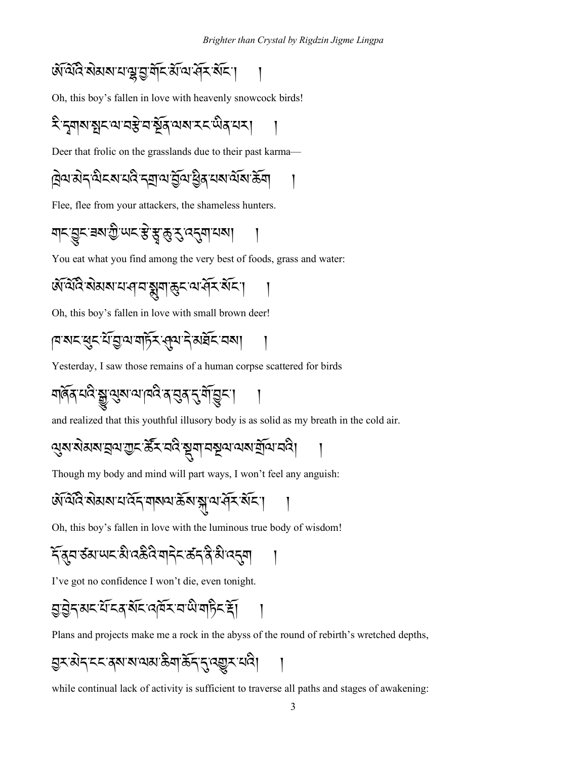Oh, this boy's fallen in love with heavenly snowcock birds!

Deer that frolic on the grasslands due to their past karma—

Flee, flee from your attackers, the shameless hunters.

You eat what you find among the very best of foods, grass and water:

Oh, this boy's fallen in love with small brown deer!

ঀয়য়ৼড়ৢৼৼড়ড়ৢড়ড়ড়ড়ৼ৻ড়ঀৼৗৢয়ড়ৼৼ

Yesterday, I saw those remains of a human corpse scattered for birds

and realized that this youthful illusory body is as solid as my breath in the cold air.

$$
2^2
$$
୩୰େଲ୍ଷ୍ୟୁସ୍କାସ୍ତ୍ୟୁୟ୰୰୍କିୟ୰େକ୍ଷ୍ର୍ୟୁସ୍ୱକ୍ୟ୰୰୰େକ୍ୱୗ୰ୁକୀର୍କିଗ଼

Though my body and mind will part ways, I won't feel any anguish:

Oh, this boy's fallen in love with the luminous true body of wisdom!

I've got no confidence I won't die, even tonight.

$$
\text{Var}(\widehat{X}^T) = \text{Var}(\widehat{X}^T) = \text{Var}(\widehat{X}^T) = \text{Var}(\widehat{X}^T) = \text{Var}(\widehat{X}^T) = \text{Var}(\widehat{X}^T) = \text{Var}(\widehat{X}^T) = \text{Var}(\widehat{X}^T) = \text{Var}(\widehat{X}^T) = \text{Var}(\widehat{X}^T) = \text{Var}(\widehat{X}^T) = \text{Var}(\widehat{X}^T) = \text{Var}(\widehat{X}^T) = \text{Var}(\widehat{X}^T) = \text{Var}(\widehat{X}^T) = \text{Var}(\widehat{X}^T) = \text{Var}(\widehat{X}^T) = \text{Var}(\widehat{X}^T) = \text{Var}(\widehat{X}^T) = \text{Var}(\widehat{X}^T) = \text{Var}(\widehat{X}^T) = \text{Var}(\widehat{X}^T) = \text{Var}(\widehat{X}^T) = \text{Var}(\widehat{X}^T) = \text{Var}(\widehat{X}^T) = \text{Var}(\widehat{X}^T) = \text{Var}(\widehat{X}^T) = \text{Var}(\widehat{X}^T) = \text{Var}(\widehat{X}^T) = \text{Var}(\widehat{X}^T) = \text{Var}(\widehat{X}^T) = \text{Var}(\widehat{X}^T) = \text{Var}(\widehat{X}^T) = \text{Var}(\widehat{X}^T) = \text{Var}(\widehat{X}^T) = \text{Var}(\widehat{X}^T) = \text{Var}(\widehat{X}^T) = \text{Var}(\widehat{X}^T) = \text{Var}(\widehat{X}^T) = \text{Var}(\widehat{X}^T) = \text{Var}(\widehat{X}^T) = \text{Var}(\widehat{X}^T) = \text{Var}(\widehat{X}^T) = \text{Var}(\widehat{X}^T) = \text{Var}(\widehat{X}^T) = \text{Var}(\widehat{X}^T) = \text{Var}(\widehat{X}^T) = \text{Var}(\widehat{X}^T) = \text{Var}(\widehat{X}^T) = \text{Var}(\widehat{X}^T) = \text{Var}(\widehat{X
$$

Plans and projects make me a rock in the abyss of the round of rebirth's wretched depths,

$$
\text{max}(\text{argmax}(\text{argmax}(\text{argmax}(\text{argmax}(\text{argmax}(\text{argmax}(\text{argmax}(\text{argmax}(\text{argmax}(\text{argmax}(\text{argmax}(\text{argmax}(\text{argmax}(\text{argmax}(\text{argmax}(\text{argmax}(\text{argmax}(\text{argmax}(\text{argmax}(\text{argmax}(\text{argmax}(\text{argmax}(\text{argmax}(\text{argmax}(\text{argmax}(\text{argmax}(\text{argmax}(\text{argmax}(\text{argmax}(\text{argmax}(\text{argmax}(\text{argmax}(\text{argmax}(\text{argmax}(\text{argmax}(\text{argmax}(\text{argmax}(\text{argmax}(\text{argmax}(\text{argmax}(\text{argmax}(\text{argmax}(\text{argmax}(\text{argmax}(\text{argmax}(\text{argmax}(\text{argmax}(\text{argmax}(\text{argmax}(\text{argmax}(\text{argmax}(\text{argmax}(\text{argmax}(\text{argmax}(\text{argmax}(\text{argmax}(\text{argmax}(\text{argmax}(\text{argmax}(\text{argmax}(\text{argmax}(\text{argmax}(\text{argmax}(\text{argmax}(\text{argmax}(\text{argmax}(\text{argmax}(\text{argmax}(\text{argmax}(\text{argmax}(\text{argmax}(\text{argmax}(\text{argmax}(\text{argmax}(\text{argmax}(\text{argmax}(\text{argmax}(\text{argmax}(\text{argmax}(\text{argmax}(\text{argmax}(\text{argmax}(\text{argmax}(\text{argmax}(\text{argmax}(\text{argmax}(\text{argmax}(\text{argmax}(\text{argmax}(\text{argmax}(\text{argmax}(\text{argmax}(\text{argmax}(\text{argmax}(\text{argmax}(\text{argmax}(\text{argmax}(\text{argmax}(\text{argmax}(\text{argmax}(\text{argmax}(\text{argmax}(\text{argmax}(\text{argmax}(\text{argmax}(\text{argmax}(\text{argmax}(\text{argmax}(\text{argmax}(\text{argmax}(\text{argmax}(\text{argmax}(\text{argmax}(\text{argmax}(\text{argmax}(\text{argmax}(\text{argmax}(\text{argmax}(\text{argmax}(\text{argmax}(\text{argmax}(\text{argmax}(\text{argmax}(\text{argmax}(\text{argmax}(\text{argmax
$$

while continual lack of activity is sufficient to traverse all paths and stages of awakening: